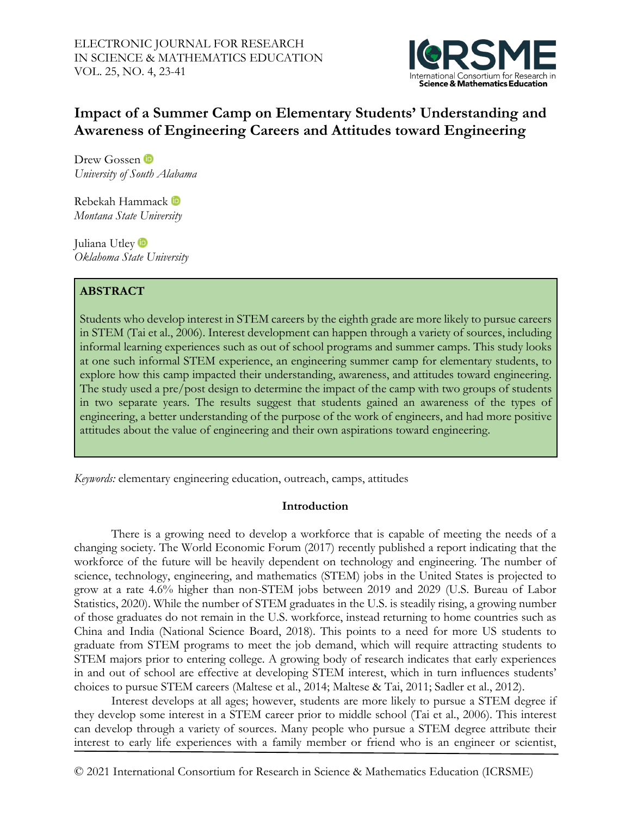

# **Impact of a Summer Camp on Elementary Students' Understanding and Awareness of Engineering Careers and Attitudes toward Engineering**

Drew Gossen <sup>to</sup> *University of South Alabama*

Rebekah Hammack *Montana State University*

Juliana Utley<sup>D</sup> *Oklahoma State University* 

# **ABSTRACT**

Students who develop interest in STEM careers by the eighth grade are more likely to pursue careers in STEM (Tai et al., 2006). Interest development can happen through a variety of sources, including informal learning experiences such as out of school programs and summer camps. This study looks at one such informal STEM experience, an engineering summer camp for elementary students, to explore how this camp impacted their understanding, awareness, and attitudes toward engineering. The study used a pre/post design to determine the impact of the camp with two groups of students in two separate years. The results suggest that students gained an awareness of the types of engineering, a better understanding of the purpose of the work of engineers, and had more positive attitudes about the value of engineering and their own aspirations toward engineering.

*Keywords:* elementary engineering education, outreach, camps, attitudes

# **Introduction**

There is a growing need to develop a workforce that is capable of meeting the needs of a changing society. The World Economic Forum (2017) recently published a report indicating that the workforce of the future will be heavily dependent on technology and engineering. The number of science, technology, engineering, and mathematics (STEM) jobs in the United States is projected to grow at a rate 4.6% higher than non-STEM jobs between 2019 and 2029 (U.S. Bureau of Labor Statistics, 2020). While the number of STEM graduates in the U.S. is steadily rising, a growing number of those graduates do not remain in the U.S. workforce, instead returning to home countries such as China and India (National Science Board, 2018). This points to a need for more US students to graduate from STEM programs to meet the job demand, which will require attracting students to STEM majors prior to entering college. A growing body of research indicates that early experiences in and out of school are effective at developing STEM interest, which in turn influences students' choices to pursue STEM careers (Maltese et al., 2014; Maltese & Tai, 2011; Sadler et al., 2012).

Interest develops at all ages; however, students are more likely to pursue a STEM degree if they develop some interest in a STEM career prior to middle school (Tai et al., 2006). This interest can develop through a variety of sources. Many people who pursue a STEM degree attribute their interest to early life experiences with a family member or friend who is an engineer or scientist,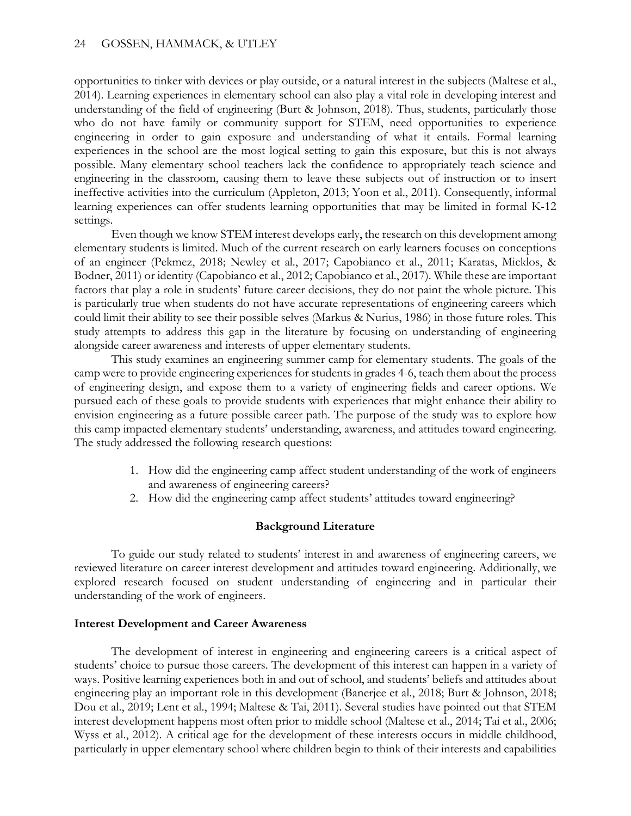opportunities to tinker with devices or play outside, or a natural interest in the subjects (Maltese et al., 2014). Learning experiences in elementary school can also play a vital role in developing interest and understanding of the field of engineering (Burt & Johnson, 2018). Thus, students, particularly those who do not have family or community support for STEM, need opportunities to experience engineering in order to gain exposure and understanding of what it entails. Formal learning experiences in the school are the most logical setting to gain this exposure, but this is not always possible. Many elementary school teachers lack the confidence to appropriately teach science and engineering in the classroom, causing them to leave these subjects out of instruction or to insert ineffective activities into the curriculum (Appleton, 2013; Yoon et al., 2011). Consequently, informal learning experiences can offer students learning opportunities that may be limited in formal K-12 settings.

Even though we know STEM interest develops early, the research on this development among elementary students is limited. Much of the current research on early learners focuses on conceptions of an engineer (Pekmez, 2018; Newley et al., 2017; Capobianco et al., 2011; Karatas, Micklos, & Bodner, 2011) or identity (Capobianco et al., 2012; Capobianco et al., 2017). While these are important factors that play a role in students' future career decisions, they do not paint the whole picture. This is particularly true when students do not have accurate representations of engineering careers which could limit their ability to see their possible selves (Markus & Nurius, 1986) in those future roles. This study attempts to address this gap in the literature by focusing on understanding of engineering alongside career awareness and interests of upper elementary students.

This study examines an engineering summer camp for elementary students. The goals of the camp were to provide engineering experiences for students in grades 4-6, teach them about the process of engineering design, and expose them to a variety of engineering fields and career options. We pursued each of these goals to provide students with experiences that might enhance their ability to envision engineering as a future possible career path. The purpose of the study was to explore how this camp impacted elementary students' understanding, awareness, and attitudes toward engineering. The study addressed the following research questions:

- 1. How did the engineering camp affect student understanding of the work of engineers and awareness of engineering careers?
- 2. How did the engineering camp affect students' attitudes toward engineering?

# **Background Literature**

To guide our study related to students' interest in and awareness of engineering careers, we reviewed literature on career interest development and attitudes toward engineering. Additionally, we explored research focused on student understanding of engineering and in particular their understanding of the work of engineers.

# **Interest Development and Career Awareness**

The development of interest in engineering and engineering careers is a critical aspect of students' choice to pursue those careers. The development of this interest can happen in a variety of ways. Positive learning experiences both in and out of school, and students' beliefs and attitudes about engineering play an important role in this development (Banerjee et al., 2018; Burt & Johnson, 2018; Dou et al., 2019; Lent et al., 1994; Maltese & Tai, 2011). Several studies have pointed out that STEM interest development happens most often prior to middle school (Maltese et al., 2014; Tai et al., 2006; Wyss et al., 2012). A critical age for the development of these interests occurs in middle childhood, particularly in upper elementary school where children begin to think of their interests and capabilities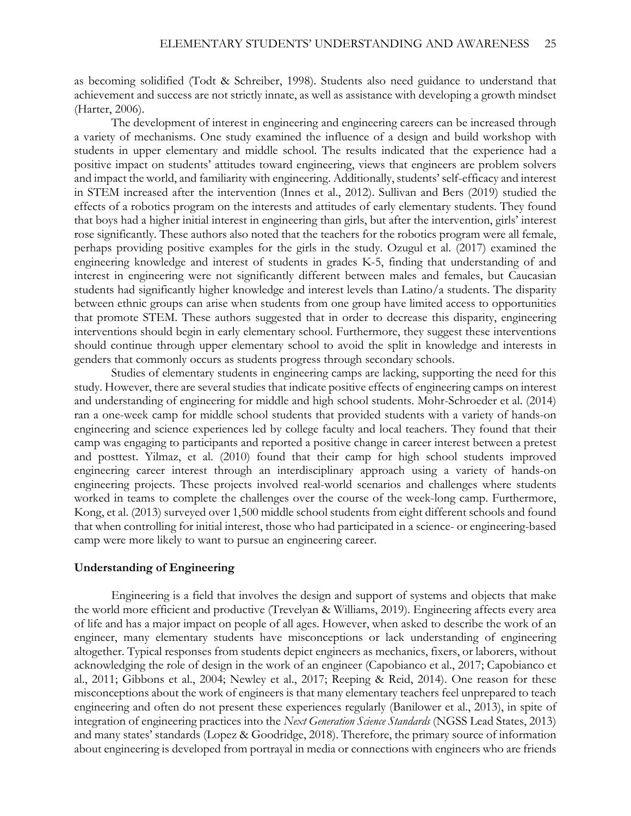as becoming solidified (Todt & Schreiber, 1998). Students also need guidance to understand that achievement and success are not strictly innate, as well as assistance with developing a growth mindset (Harter, 2006).

The development of interest in engineering and engineering careers can be increased through a variety of mechanisms. One study examined the influence of a design and build workshop with students in upper elementary and middle school. The results indicated that the experience had a positive impact on students' attitudes toward engineering, views that engineers are problem solvers and impact the world, and familiarity with engineering. Additionally, students' self-efficacy and interest in STEM increased after the intervention (Innes et al., 2012). Sullivan and Bers (2019) studied the effects of a robotics program on the interests and attitudes of early elementary students. They found that boys had a higher initial interest in engineering than girls, but after the intervention, girls' interest rose significantly. These authors also noted that the teachers for the robotics program were all female, perhaps providing positive examples for the girls in the study. Ozugul et al. (2017) examined the engineering knowledge and interest of students in grades K-5, finding that understanding of and interest in engineering were not significantly different between males and females, but Caucasian students had significantly higher knowledge and interest levels than Latino/a students. The disparity between ethnic groups can arise when students from one group have limited access to opportunities that promote STEM. These authors suggested that in order to decrease this disparity, engineering interventions should begin in early elementary school. Furthermore, they suggest these interventions should continue through upper elementary school to avoid the split in knowledge and interests in genders that commonly occurs as students progress through secondary schools.

Studies of elementary students in engineering camps are lacking, supporting the need for this study. However, there are several studies that indicate positive effects of engineering camps on interest and understanding of engineering for middle and high school students. Mohr-Schroeder et al. (2014) ran a one-week camp for middle school students that provided students with a variety of hands-on engineering and science experiences led by college faculty and local teachers. They found that their camp was engaging to participants and reported a positive change in career interest between a pretest and posttest. Yilmaz, et al. (2010) found that their camp for high school students improved engineering career interest through an interdisciplinary approach using a variety of hands-on engineering projects. These projects involved real-world scenarios and challenges where students worked in teams to complete the challenges over the course of the week-long camp. Furthermore, Kong, et al. (2013) surveyed over 1,500 middle school students from eight different schools and found that when controlling for initial interest, those who had participated in a science- or engineering-based camp were more likely to want to pursue an engineering career.

#### **Understanding of Engineering**

Engineering is a field that involves the design and support of systems and objects that make the world more efficient and productive (Trevelyan & Williams, 2019). Engineering affects every area of life and has a major impact on people of all ages. However, when asked to describe the work of an engineer, many elementary students have misconceptions or lack understanding of engineering altogether. Typical responses from students depict engineers as mechanics, fixers, or laborers, without acknowledging the role of design in the work of an engineer (Capobianco et al., 2017; Capobianco et al., 2011; Gibbons et al., 2004; Newley et al., 2017; Reeping & Reid, 2014). One reason for these misconceptions about the work of engineers is that many elementary teachers feel unprepared to teach engineering and often do not present these experiences regularly (Banilower et al., 2013), in spite of integration of engineering practices into the *Next Generation Science Standards* (NGSS Lead States, 2013) and many states' standards (Lopez & Goodridge, 2018). Therefore, the primary source of information about engineering is developed from portrayal in media or connections with engineers who are friends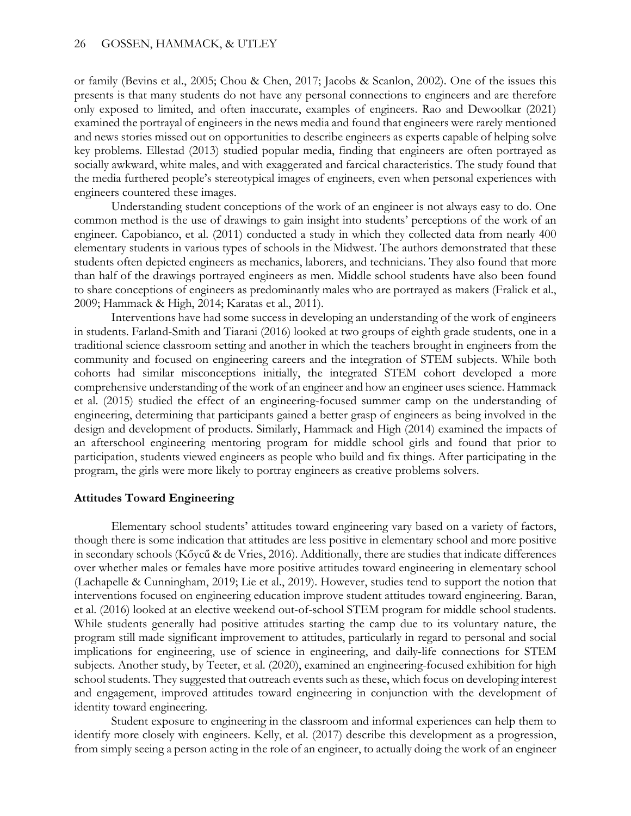or family (Bevins et al., 2005; Chou & Chen, 2017; Jacobs & Scanlon, 2002). One of the issues this presents is that many students do not have any personal connections to engineers and are therefore only exposed to limited, and often inaccurate, examples of engineers. Rao and Dewoolkar (2021) examined the portrayal of engineers in the news media and found that engineers were rarely mentioned and news stories missed out on opportunities to describe engineers as experts capable of helping solve key problems. Ellestad (2013) studied popular media, finding that engineers are often portrayed as socially awkward, white males, and with exaggerated and farcical characteristics. The study found that the media furthered people's stereotypical images of engineers, even when personal experiences with engineers countered these images.

Understanding student conceptions of the work of an engineer is not always easy to do. One common method is the use of drawings to gain insight into students' perceptions of the work of an engineer. Capobianco, et al. (2011) conducted a study in which they collected data from nearly 400 elementary students in various types of schools in the Midwest. The authors demonstrated that these students often depicted engineers as mechanics, laborers, and technicians. They also found that more than half of the drawings portrayed engineers as men. Middle school students have also been found to share conceptions of engineers as predominantly males who are portrayed as makers (Fralick et al., 2009; Hammack & High, 2014; Karatas et al., 2011).

Interventions have had some success in developing an understanding of the work of engineers in students. Farland-Smith and Tiarani (2016) looked at two groups of eighth grade students, one in a traditional science classroom setting and another in which the teachers brought in engineers from the community and focused on engineering careers and the integration of STEM subjects. While both cohorts had similar misconceptions initially, the integrated STEM cohort developed a more comprehensive understanding of the work of an engineer and how an engineer uses science. Hammack et al. (2015) studied the effect of an engineering-focused summer camp on the understanding of engineering, determining that participants gained a better grasp of engineers as being involved in the design and development of products. Similarly, Hammack and High (2014) examined the impacts of an afterschool engineering mentoring program for middle school girls and found that prior to participation, students viewed engineers as people who build and fix things. After participating in the program, the girls were more likely to portray engineers as creative problems solvers.

#### **Attitudes Toward Engineering**

Elementary school students' attitudes toward engineering vary based on a variety of factors, though there is some indication that attitudes are less positive in elementary school and more positive in secondary schools (Kőycű & de Vries, 2016). Additionally, there are studies that indicate differences over whether males or females have more positive attitudes toward engineering in elementary school (Lachapelle & Cunningham, 2019; Lie et al., 2019). However, studies tend to support the notion that interventions focused on engineering education improve student attitudes toward engineering. Baran, et al. (2016) looked at an elective weekend out-of-school STEM program for middle school students. While students generally had positive attitudes starting the camp due to its voluntary nature, the program still made significant improvement to attitudes, particularly in regard to personal and social implications for engineering, use of science in engineering, and daily-life connections for STEM subjects. Another study, by Teeter, et al. (2020), examined an engineering-focused exhibition for high school students. They suggested that outreach events such as these, which focus on developing interest and engagement, improved attitudes toward engineering in conjunction with the development of identity toward engineering.

Student exposure to engineering in the classroom and informal experiences can help them to identify more closely with engineers. Kelly, et al. (2017) describe this development as a progression, from simply seeing a person acting in the role of an engineer, to actually doing the work of an engineer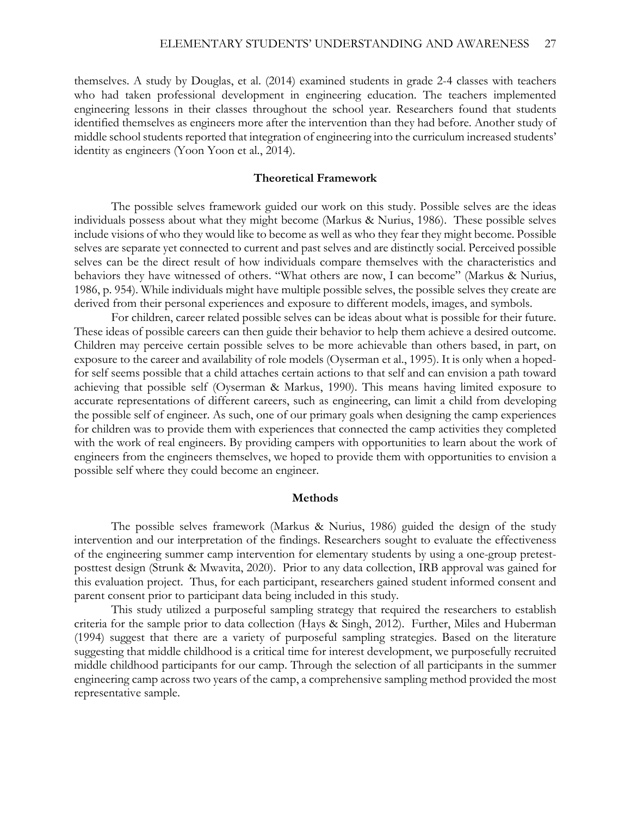themselves. A study by Douglas, et al. (2014) examined students in grade 2-4 classes with teachers who had taken professional development in engineering education. The teachers implemented engineering lessons in their classes throughout the school year. Researchers found that students identified themselves as engineers more after the intervention than they had before. Another study of middle school students reported that integration of engineering into the curriculum increased students' identity as engineers (Yoon Yoon et al., 2014).

#### **Theoretical Framework**

The possible selves framework guided our work on this study. Possible selves are the ideas individuals possess about what they might become (Markus & Nurius, 1986). These possible selves include visions of who they would like to become as well as who they fear they might become. Possible selves are separate yet connected to current and past selves and are distinctly social. Perceived possible selves can be the direct result of how individuals compare themselves with the characteristics and behaviors they have witnessed of others. "What others are now, I can become" (Markus & Nurius, 1986, p. 954). While individuals might have multiple possible selves, the possible selves they create are derived from their personal experiences and exposure to different models, images, and symbols.

For children, career related possible selves can be ideas about what is possible for their future. These ideas of possible careers can then guide their behavior to help them achieve a desired outcome. Children may perceive certain possible selves to be more achievable than others based, in part, on exposure to the career and availability of role models (Oyserman et al., 1995). It is only when a hopedfor self seems possible that a child attaches certain actions to that self and can envision a path toward achieving that possible self (Oyserman & Markus, 1990). This means having limited exposure to accurate representations of different careers, such as engineering, can limit a child from developing the possible self of engineer. As such, one of our primary goals when designing the camp experiences for children was to provide them with experiences that connected the camp activities they completed with the work of real engineers. By providing campers with opportunities to learn about the work of engineers from the engineers themselves, we hoped to provide them with opportunities to envision a possible self where they could become an engineer.

#### **Methods**

The possible selves framework (Markus & Nurius, 1986) guided the design of the study intervention and our interpretation of the findings. Researchers sought to evaluate the effectiveness of the engineering summer camp intervention for elementary students by using a one-group pretestposttest design (Strunk & Mwavita, 2020). Prior to any data collection, IRB approval was gained for this evaluation project. Thus, for each participant, researchers gained student informed consent and parent consent prior to participant data being included in this study.

This study utilized a purposeful sampling strategy that required the researchers to establish criteria for the sample prior to data collection (Hays & Singh, 2012). Further, Miles and Huberman (1994) suggest that there are a variety of purposeful sampling strategies. Based on the literature suggesting that middle childhood is a critical time for interest development, we purposefully recruited middle childhood participants for our camp. Through the selection of all participants in the summer engineering camp across two years of the camp, a comprehensive sampling method provided the most representative sample.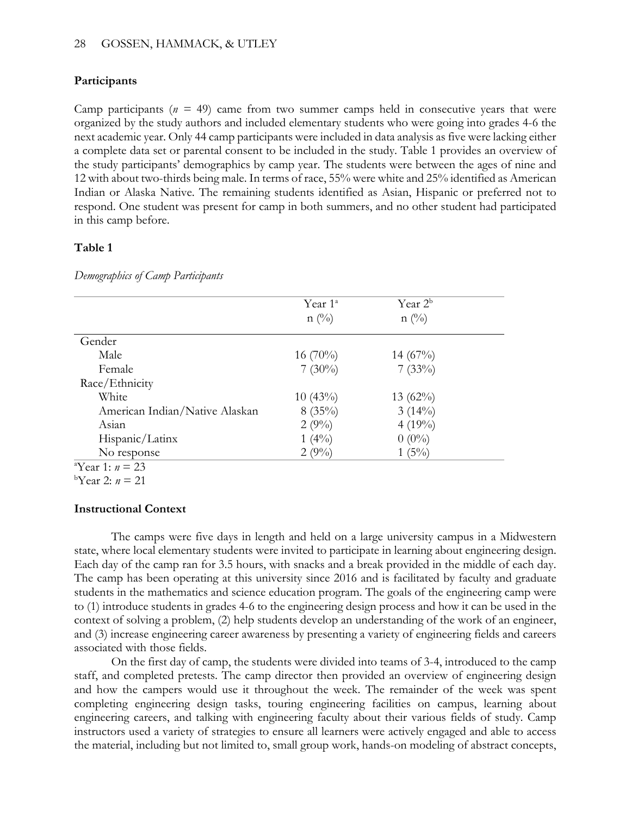### 28 GOSSEN, HAMMACK, & UTLEY

# **Participants**

Camp participants ( $n = 49$ ) came from two summer camps held in consecutive years that were organized by the study authors and included elementary students who were going into grades 4-6 the next academic year. Only 44 camp participants were included in data analysis as five were lacking either a complete data set or parental consent to be included in the study. Table 1 provides an overview of the study participants' demographics by camp year. The students were between the ages of nine and 12 with about two-thirds being male. In terms of race, 55% were white and 25% identified as American Indian or Alaska Native. The remaining students identified as Asian, Hispanic or preferred not to respond. One student was present for camp in both summers, and no other student had participated in this camp before.

# **Table 1**

*Demographics of Camp Participants*

|                                | Year $1^{\circ}$<br>$n(^{0}/_{0})$ | Year $2^b$<br>$n(^{0}/_{0})$ |
|--------------------------------|------------------------------------|------------------------------|
| Gender                         |                                    |                              |
| Male                           | $16(70\%)$                         | $14(67\%)$                   |
| Female                         | $7(30\%)$                          | 7(33%)                       |
| Race/Ethnicity                 |                                    |                              |
| White                          | $10(43\%)$                         | $13(62\%)$                   |
| American Indian/Native Alaskan | $8(35\%)$                          | $3(14\%)$                    |
| Asian                          | 2(9%)                              | $4(19\%)$                    |
| Hispanic/Latinx                | $1(4\%)$                           | $0(0\%)$                     |
| No response                    | $2(9\%)$                           | $1(5\%)$                     |
| <sup>a</sup> Year 1: $n = 23$  |                                    |                              |

 $\frac{b \text{Year 2: } n = 21}$ 

# **Instructional Context**

The camps were five days in length and held on a large university campus in a Midwestern state, where local elementary students were invited to participate in learning about engineering design. Each day of the camp ran for 3.5 hours, with snacks and a break provided in the middle of each day. The camp has been operating at this university since 2016 and is facilitated by faculty and graduate students in the mathematics and science education program. The goals of the engineering camp were to (1) introduce students in grades 4-6 to the engineering design process and how it can be used in the context of solving a problem, (2) help students develop an understanding of the work of an engineer, and (3) increase engineering career awareness by presenting a variety of engineering fields and careers associated with those fields.

On the first day of camp, the students were divided into teams of 3-4, introduced to the camp staff, and completed pretests. The camp director then provided an overview of engineering design and how the campers would use it throughout the week. The remainder of the week was spent completing engineering design tasks, touring engineering facilities on campus, learning about engineering careers, and talking with engineering faculty about their various fields of study. Camp instructors used a variety of strategies to ensure all learners were actively engaged and able to access the material, including but not limited to, small group work, hands-on modeling of abstract concepts,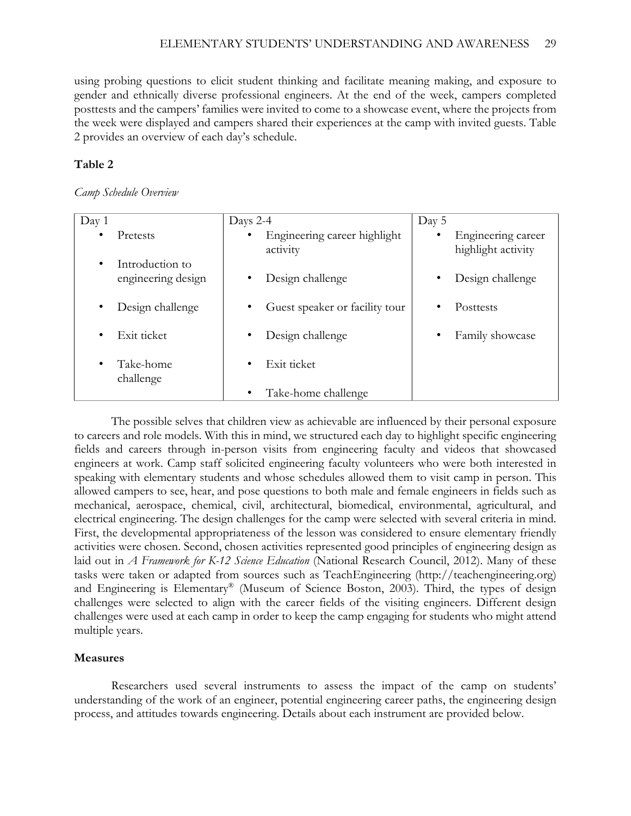using probing questions to elicit student thinking and facilitate meaning making, and exposure to gender and ethnically diverse professional engineers. At the end of the week, campers completed posttests and the campers' families were invited to come to a showcase event, where the projects from the week were displayed and campers shared their experiences at the camp with invited guests. Table 2 provides an overview of each day's schedule.

# **Table 2**

### *Camp Schedule Overview*

| Day 1     |                                       | Days 2-4                                 | Day 5                                    |
|-----------|---------------------------------------|------------------------------------------|------------------------------------------|
| $\bullet$ | Pretests                              | Engineering career highlight<br>activity | Engineering career<br>highlight activity |
| $\bullet$ | Introduction to<br>engineering design | Design challenge                         | Design challenge                         |
| ٠         | Design challenge                      | Guest speaker or facility tour           | Posttests                                |
| ٠         | Exit ticket                           | Design challenge                         | Family showcase                          |
| ٠         | Take-home<br>challenge                | Exit ticket                              |                                          |
|           |                                       | Take-home challenge                      |                                          |

The possible selves that children view as achievable are influenced by their personal exposure to careers and role models. With this in mind, we structured each day to highlight specific engineering fields and careers through in-person visits from engineering faculty and videos that showcased engineers at work. Camp staff solicited engineering faculty volunteers who were both interested in speaking with elementary students and whose schedules allowed them to visit camp in person. This allowed campers to see, hear, and pose questions to both male and female engineers in fields such as mechanical, aerospace, chemical, civil, architectural, biomedical, environmental, agricultural, and electrical engineering. The design challenges for the camp were selected with several criteria in mind. First, the developmental appropriateness of the lesson was considered to ensure elementary friendly activities were chosen. Second, chosen activities represented good principles of engineering design as laid out in *A Framework for K-12 Science Education* (National Research Council, 2012). Many of these tasks were taken or adapted from sources such as TeachEngineering (http://teachengineering.org) and Engineering is Elementary® (Museum of Science Boston, 2003). Third, the types of design challenges were selected to align with the career fields of the visiting engineers. Different design challenges were used at each camp in order to keep the camp engaging for students who might attend multiple years.

# **Measures**

Researchers used several instruments to assess the impact of the camp on students' understanding of the work of an engineer, potential engineering career paths, the engineering design process, and attitudes towards engineering. Details about each instrument are provided below.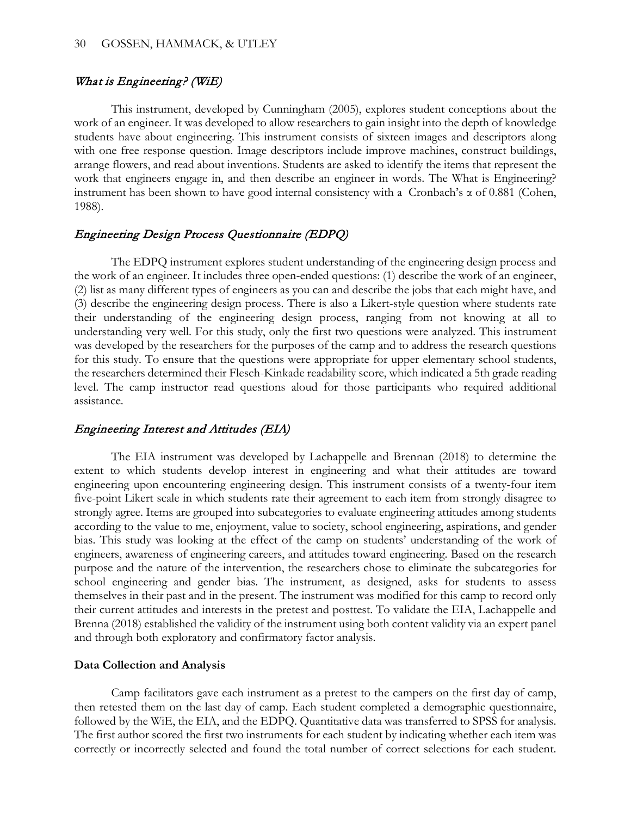### What is Engineering? (WiE)

This instrument, developed by Cunningham (2005), explores student conceptions about the work of an engineer. It was developed to allow researchers to gain insight into the depth of knowledge students have about engineering. This instrument consists of sixteen images and descriptors along with one free response question. Image descriptors include improve machines, construct buildings, arrange flowers, and read about inventions. Students are asked to identify the items that represent the work that engineers engage in, and then describe an engineer in words. The What is Engineering? instrument has been shown to have good internal consistency with a Cronbach's α of 0.881 (Cohen, 1988).

# Engineering Design Process Questionnaire (EDPQ)

The EDPQ instrument explores student understanding of the engineering design process and the work of an engineer. It includes three open-ended questions: (1) describe the work of an engineer, (2) list as many different types of engineers as you can and describe the jobs that each might have, and (3) describe the engineering design process. There is also a Likert-style question where students rate their understanding of the engineering design process, ranging from not knowing at all to understanding very well. For this study, only the first two questions were analyzed. This instrument was developed by the researchers for the purposes of the camp and to address the research questions for this study. To ensure that the questions were appropriate for upper elementary school students, the researchers determined their Flesch-Kinkade readability score, which indicated a 5th grade reading level. The camp instructor read questions aloud for those participants who required additional assistance.

#### Engineering Interest and Attitudes (EIA)

The EIA instrument was developed by Lachappelle and Brennan (2018) to determine the extent to which students develop interest in engineering and what their attitudes are toward engineering upon encountering engineering design. This instrument consists of a twenty-four item five-point Likert scale in which students rate their agreement to each item from strongly disagree to strongly agree. Items are grouped into subcategories to evaluate engineering attitudes among students according to the value to me, enjoyment, value to society, school engineering, aspirations, and gender bias. This study was looking at the effect of the camp on students' understanding of the work of engineers, awareness of engineering careers, and attitudes toward engineering. Based on the research purpose and the nature of the intervention, the researchers chose to eliminate the subcategories for school engineering and gender bias. The instrument, as designed, asks for students to assess themselves in their past and in the present. The instrument was modified for this camp to record only their current attitudes and interests in the pretest and posttest. To validate the EIA, Lachappelle and Brenna (2018) established the validity of the instrument using both content validity via an expert panel and through both exploratory and confirmatory factor analysis.

#### **Data Collection and Analysis**

Camp facilitators gave each instrument as a pretest to the campers on the first day of camp, then retested them on the last day of camp. Each student completed a demographic questionnaire, followed by the WiE, the EIA, and the EDPQ. Quantitative data was transferred to SPSS for analysis. The first author scored the first two instruments for each student by indicating whether each item was correctly or incorrectly selected and found the total number of correct selections for each student.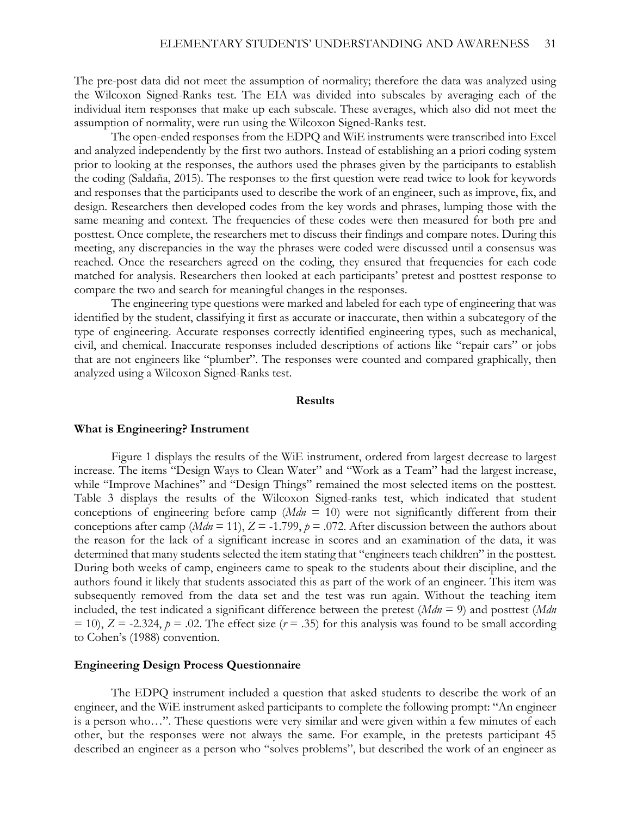The pre-post data did not meet the assumption of normality; therefore the data was analyzed using the Wilcoxon Signed-Ranks test. The EIA was divided into subscales by averaging each of the individual item responses that make up each subscale. These averages, which also did not meet the assumption of normality, were run using the Wilcoxon Signed-Ranks test.

The open-ended responses from the EDPQ and WiE instruments were transcribed into Excel and analyzed independently by the first two authors. Instead of establishing an a priori coding system prior to looking at the responses, the authors used the phrases given by the participants to establish the coding (Saldaña, 2015). The responses to the first question were read twice to look for keywords and responses that the participants used to describe the work of an engineer, such as improve, fix, and design. Researchers then developed codes from the key words and phrases, lumping those with the same meaning and context. The frequencies of these codes were then measured for both pre and posttest. Once complete, the researchers met to discuss their findings and compare notes. During this meeting, any discrepancies in the way the phrases were coded were discussed until a consensus was reached. Once the researchers agreed on the coding, they ensured that frequencies for each code matched for analysis. Researchers then looked at each participants' pretest and posttest response to compare the two and search for meaningful changes in the responses.

The engineering type questions were marked and labeled for each type of engineering that was identified by the student, classifying it first as accurate or inaccurate, then within a subcategory of the type of engineering. Accurate responses correctly identified engineering types, such as mechanical, civil, and chemical. Inaccurate responses included descriptions of actions like "repair cars" or jobs that are not engineers like "plumber". The responses were counted and compared graphically, then analyzed using a Wilcoxon Signed-Ranks test.

#### **Results**

#### **What is Engineering? Instrument**

Figure 1 displays the results of the WiE instrument, ordered from largest decrease to largest increase. The items "Design Ways to Clean Water" and "Work as a Team" had the largest increase, while "Improve Machines" and "Design Things" remained the most selected items on the posttest. Table 3 displays the results of the Wilcoxon Signed-ranks test, which indicated that student conceptions of engineering before camp  $(Mdn = 10)$  were not significantly different from their conceptions after camp ( $Mdn = 11$ ),  $Z = -1.799$ ,  $p = .072$ . After discussion between the authors about the reason for the lack of a significant increase in scores and an examination of the data, it was determined that many students selected the item stating that "engineers teach children" in the posttest. During both weeks of camp, engineers came to speak to the students about their discipline, and the authors found it likely that students associated this as part of the work of an engineer. This item was subsequently removed from the data set and the test was run again. Without the teaching item included, the test indicated a significant difference between the pretest (*Mdn* = 9) and posttest (*Mdn*  $(25 - 10)$ ,  $Z = -2.324$ ,  $p = .02$ . The effect size ( $r = .35$ ) for this analysis was found to be small according to Cohen's (1988) convention.

#### **Engineering Design Process Questionnaire**

The EDPQ instrument included a question that asked students to describe the work of an engineer, and the WiE instrument asked participants to complete the following prompt: "An engineer is a person who…". These questions were very similar and were given within a few minutes of each other, but the responses were not always the same. For example, in the pretests participant 45 described an engineer as a person who "solves problems", but described the work of an engineer as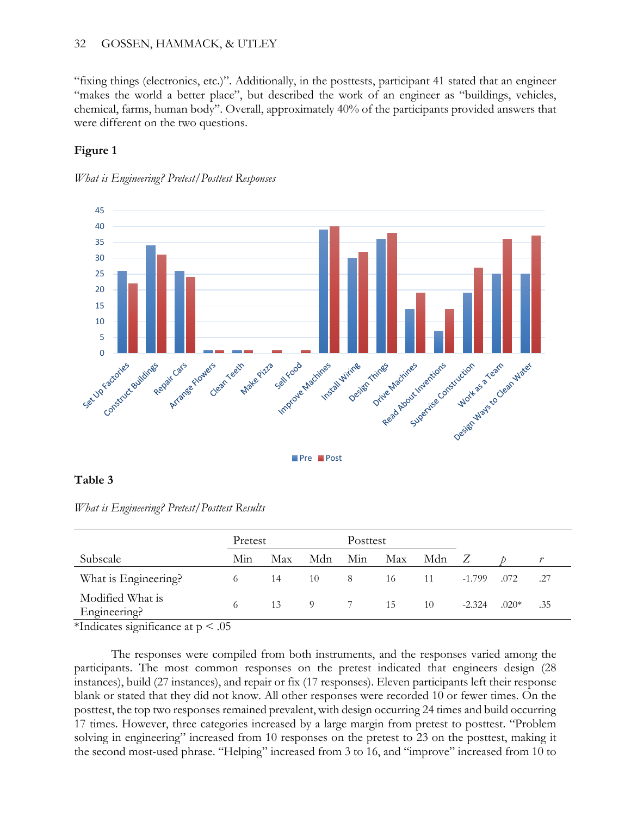# 32 GOSSEN, HAMMACK, & UTLEY

"fixing things (electronics, etc.)". Additionally, in the posttests, participant 41 stated that an engineer "makes the world a better place", but described the work of an engineer as "buildings, vehicles, chemical, farms, human body". Overall, approximately 40% of the participants provided answers that were different on the two questions.

# **Figure 1**





# **Table 3**

*What is Engineering? Pretest/Posttest Results*

|                                  | Pretest |     |          | Posttest |     |     |          |         |     |
|----------------------------------|---------|-----|----------|----------|-----|-----|----------|---------|-----|
| Subscale                         | Min     | Max | Mdn      | Min      | Max | Mdn |          |         |     |
| What is Engineering?             | 6       | 14  | 10       | 8        | 16  | 11  | $-1.799$ | .072    | .27 |
| Modified What is<br>Engineering? | 6       | 13  | $\Omega$ |          | 15  | 10  | $-2.324$ | $.020*$ | .35 |

\*Indicates significance at  $p < .05$ 

The responses were compiled from both instruments, and the responses varied among the participants. The most common responses on the pretest indicated that engineers design (28 instances), build (27 instances), and repair or fix (17 responses). Eleven participants left their response blank or stated that they did not know. All other responses were recorded 10 or fewer times. On the posttest, the top two responses remained prevalent, with design occurring 24 times and build occurring 17 times. However, three categories increased by a large margin from pretest to posttest. "Problem solving in engineering" increased from 10 responses on the pretest to 23 on the posttest, making it the second most-used phrase. "Helping" increased from 3 to 16, and "improve" increased from 10 to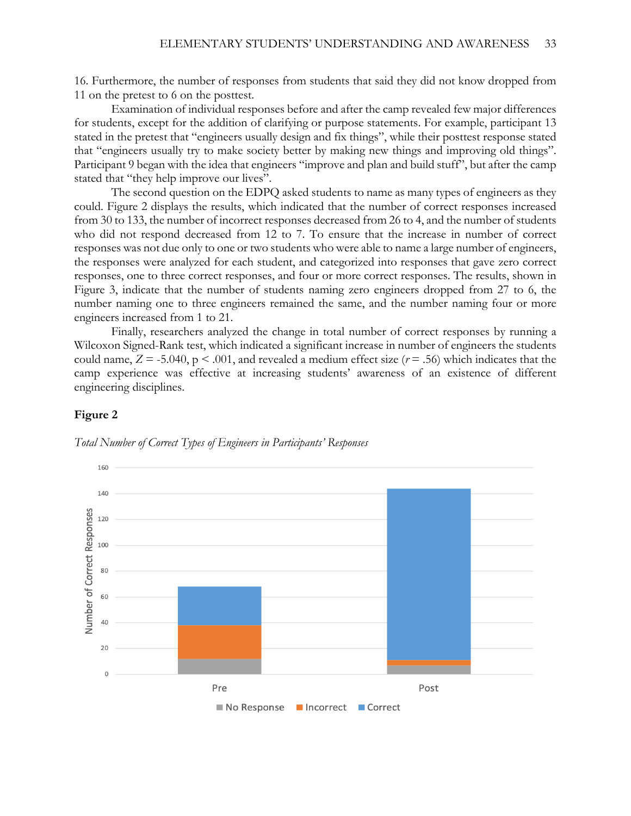16. Furthermore, the number of responses from students that said they did not know dropped from 11 on the pretest to 6 on the posttest.

Examination of individual responses before and after the camp revealed few major differences for students, except for the addition of clarifying or purpose statements. For example, participant 13 stated in the pretest that "engineers usually design and fix things", while their posttest response stated that "engineers usually try to make society better by making new things and improving old things". Participant 9 began with the idea that engineers "improve and plan and build stuff", but after the camp stated that "they help improve our lives".

The second question on the EDPQ asked students to name as many types of engineers as they could. Figure 2 displays the results, which indicated that the number of correct responses increased from 30 to 133, the number of incorrect responses decreased from 26 to 4, and the number of students who did not respond decreased from 12 to 7. To ensure that the increase in number of correct responses was not due only to one or two students who were able to name a large number of engineers, the responses were analyzed for each student, and categorized into responses that gave zero correct responses, one to three correct responses, and four or more correct responses. The results, shown in Figure 3, indicate that the number of students naming zero engineers dropped from 27 to 6, the number naming one to three engineers remained the same, and the number naming four or more engineers increased from 1 to 21.

Finally, researchers analyzed the change in total number of correct responses by running a Wilcoxon Signed-Rank test, which indicated a significant increase in number of engineers the students could name,  $Z = -5.040$ ,  $p \le 0.001$ , and revealed a medium effect size ( $r = .56$ ) which indicates that the camp experience was effective at increasing students' awareness of an existence of different engineering disciplines.

#### **Figure 2**



*Total Number of Correct Types of Engineers in Participants' Responses*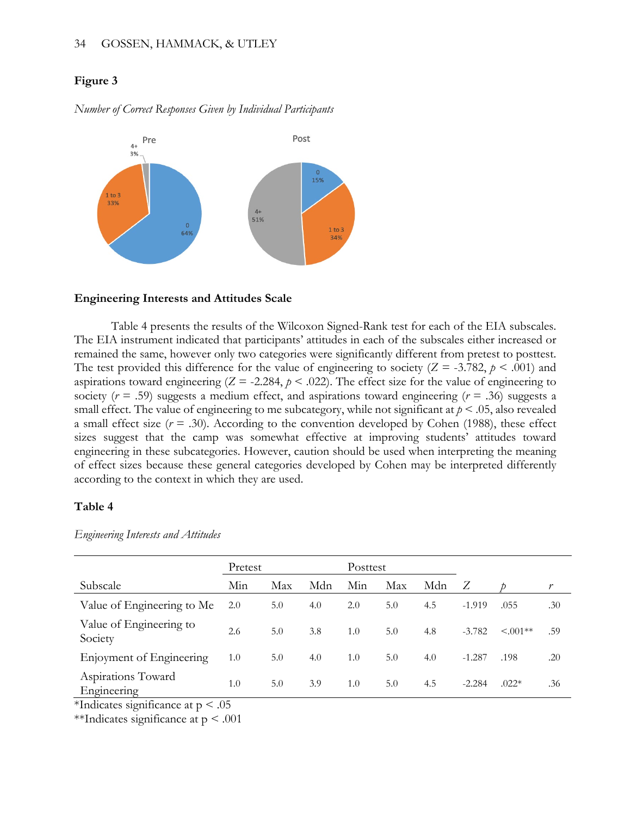#### 34 GOSSEN, HAMMACK, & UTLEY

### **Figure 3**

Post Pre  $\Delta +$ 3% 15%  $1$  to  $3$ 33%  $4+$ 51%  $\overline{0}$  $1 to 3$ 64% 34%

*Number of Correct Responses Given by Individual Participants*

#### **Engineering Interests and Attitudes Scale**

Table 4 presents the results of the Wilcoxon Signed-Rank test for each of the EIA subscales. The EIA instrument indicated that participants' attitudes in each of the subscales either increased or remained the same, however only two categories were significantly different from pretest to posttest. The test provided this difference for the value of engineering to society  $(Z = -3.782, p < .001)$  and aspirations toward engineering  $(Z = -2.284, p < .022)$ . The effect size for the value of engineering to society ( $r = .59$ ) suggests a medium effect, and aspirations toward engineering ( $r = .36$ ) suggests a small effect. The value of engineering to me subcategory, while not significant at  $p \le 0.05$ , also revealed a small effect size  $(r = .30)$ . According to the convention developed by Cohen (1988), these effect sizes suggest that the camp was somewhat effective at improving students' attitudes toward engineering in these subcategories. However, caution should be used when interpreting the meaning of effect sizes because these general categories developed by Cohen may be interpreted differently according to the context in which they are used.

### **Table 4**

|                                    | Pretest |     |     | Posttest |     |     |          |                |     |
|------------------------------------|---------|-----|-----|----------|-----|-----|----------|----------------|-----|
| Subscale                           | Min     | Max | Mdn | Min      | Max | Mdn |          |                |     |
| Value of Engineering to Me         | 2.0     | 5.0 | 4.0 | 2.0      | 5.0 | 4.5 | $-1.919$ | .055           | .30 |
| Value of Engineering to<br>Society | 2.6     | 5.0 | 3.8 | 1.0      | 5.0 | 4.8 | $-3.782$ | $\leq 0.001**$ | .59 |
| Enjoyment of Engineering           | 1.0     | 5.0 | 4.0 | 1.0      | 5.0 | 4.0 | $-1.287$ | .198           | .20 |
| Aspirations Toward<br>Engineering  | 1.0     | 5.0 | 3.9 | 1.0      | 5.0 | 4.5 | $-2.284$ | $.022*$        | .36 |

*Engineering Interests and Attitudes*

\*Indicates significance at  $p < .05$ 

\*\*Indicates significance at  $p < .001$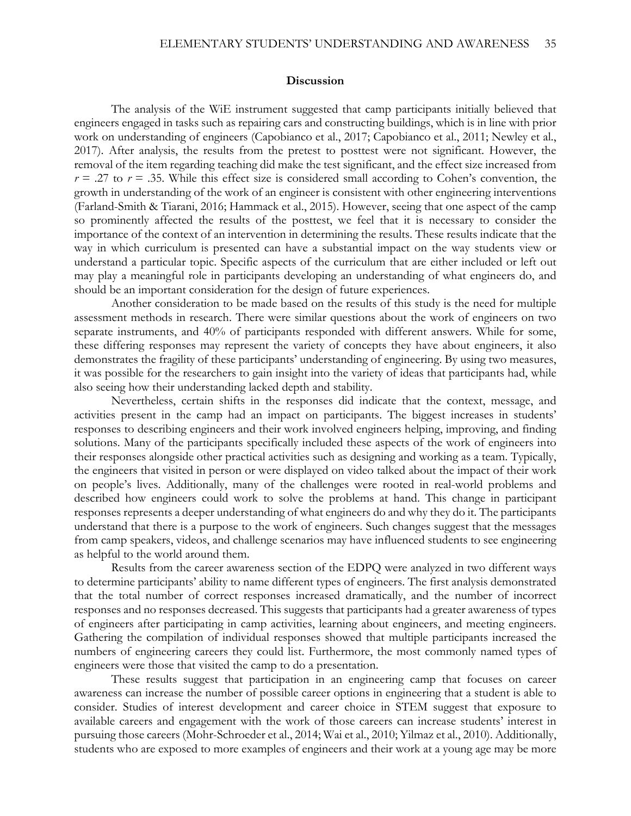#### **Discussion**

The analysis of the WiE instrument suggested that camp participants initially believed that engineers engaged in tasks such as repairing cars and constructing buildings, which is in line with prior work on understanding of engineers (Capobianco et al., 2017; Capobianco et al., 2011; Newley et al., 2017). After analysis, the results from the pretest to posttest were not significant. However, the removal of the item regarding teaching did make the test significant, and the effect size increased from  $r = .27$  to  $r = .35$ . While this effect size is considered small according to Cohen's convention, the growth in understanding of the work of an engineer is consistent with other engineering interventions (Farland-Smith & Tiarani, 2016; Hammack et al., 2015). However, seeing that one aspect of the camp so prominently affected the results of the posttest, we feel that it is necessary to consider the importance of the context of an intervention in determining the results. These results indicate that the way in which curriculum is presented can have a substantial impact on the way students view or understand a particular topic. Specific aspects of the curriculum that are either included or left out may play a meaningful role in participants developing an understanding of what engineers do, and should be an important consideration for the design of future experiences.

Another consideration to be made based on the results of this study is the need for multiple assessment methods in research. There were similar questions about the work of engineers on two separate instruments, and 40% of participants responded with different answers. While for some, these differing responses may represent the variety of concepts they have about engineers, it also demonstrates the fragility of these participants' understanding of engineering. By using two measures, it was possible for the researchers to gain insight into the variety of ideas that participants had, while also seeing how their understanding lacked depth and stability.

Nevertheless, certain shifts in the responses did indicate that the context, message, and activities present in the camp had an impact on participants. The biggest increases in students' responses to describing engineers and their work involved engineers helping, improving, and finding solutions. Many of the participants specifically included these aspects of the work of engineers into their responses alongside other practical activities such as designing and working as a team. Typically, the engineers that visited in person or were displayed on video talked about the impact of their work on people's lives. Additionally, many of the challenges were rooted in real-world problems and described how engineers could work to solve the problems at hand. This change in participant responses represents a deeper understanding of what engineers do and why they do it. The participants understand that there is a purpose to the work of engineers. Such changes suggest that the messages from camp speakers, videos, and challenge scenarios may have influenced students to see engineering as helpful to the world around them.

Results from the career awareness section of the EDPQ were analyzed in two different ways to determine participants' ability to name different types of engineers. The first analysis demonstrated that the total number of correct responses increased dramatically, and the number of incorrect responses and no responses decreased. This suggests that participants had a greater awareness of types of engineers after participating in camp activities, learning about engineers, and meeting engineers. Gathering the compilation of individual responses showed that multiple participants increased the numbers of engineering careers they could list. Furthermore, the most commonly named types of engineers were those that visited the camp to do a presentation.

 These results suggest that participation in an engineering camp that focuses on career awareness can increase the number of possible career options in engineering that a student is able to consider. Studies of interest development and career choice in STEM suggest that exposure to available careers and engagement with the work of those careers can increase students' interest in pursuing those careers (Mohr-Schroeder et al., 2014; Wai et al., 2010; Yilmaz et al., 2010). Additionally, students who are exposed to more examples of engineers and their work at a young age may be more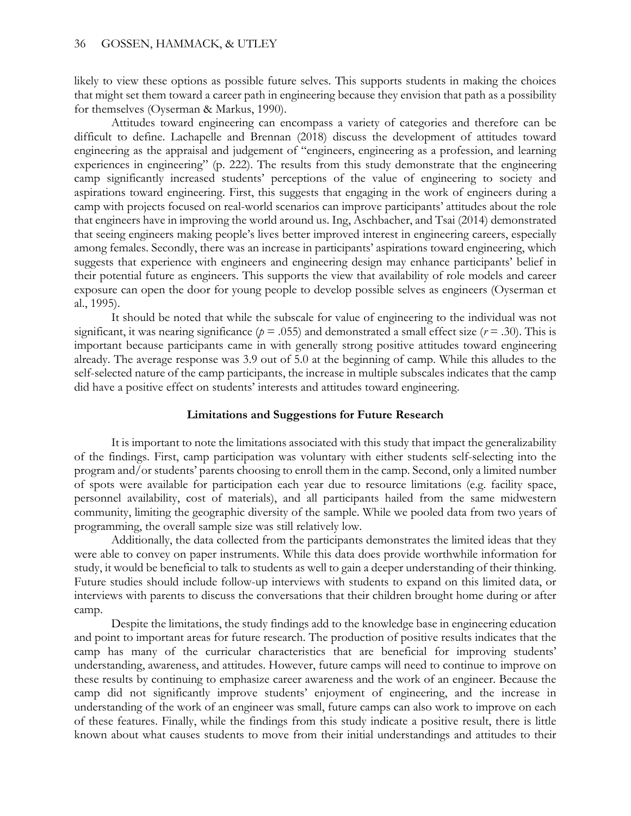likely to view these options as possible future selves. This supports students in making the choices that might set them toward a career path in engineering because they envision that path as a possibility for themselves (Oyserman & Markus, 1990).

Attitudes toward engineering can encompass a variety of categories and therefore can be difficult to define. Lachapelle and Brennan (2018) discuss the development of attitudes toward engineering as the appraisal and judgement of "engineers, engineering as a profession, and learning experiences in engineering" (p. 222). The results from this study demonstrate that the engineering camp significantly increased students' perceptions of the value of engineering to society and aspirations toward engineering. First, this suggests that engaging in the work of engineers during a camp with projects focused on real-world scenarios can improve participants' attitudes about the role that engineers have in improving the world around us. Ing, Aschbacher, and Tsai (2014) demonstrated that seeing engineers making people's lives better improved interest in engineering careers, especially among females. Secondly, there was an increase in participants' aspirations toward engineering, which suggests that experience with engineers and engineering design may enhance participants' belief in their potential future as engineers. This supports the view that availability of role models and career exposure can open the door for young people to develop possible selves as engineers (Oyserman et al., 1995).

It should be noted that while the subscale for value of engineering to the individual was not significant, it was nearing significance ( $p = .055$ ) and demonstrated a small effect size ( $r = .30$ ). This is important because participants came in with generally strong positive attitudes toward engineering already. The average response was 3.9 out of 5.0 at the beginning of camp. While this alludes to the self-selected nature of the camp participants, the increase in multiple subscales indicates that the camp did have a positive effect on students' interests and attitudes toward engineering.

#### **Limitations and Suggestions for Future Research**

It is important to note the limitations associated with this study that impact the generalizability of the findings. First, camp participation was voluntary with either students self-selecting into the program and/or students' parents choosing to enroll them in the camp. Second, only a limited number of spots were available for participation each year due to resource limitations (e.g. facility space, personnel availability, cost of materials), and all participants hailed from the same midwestern community, limiting the geographic diversity of the sample. While we pooled data from two years of programming, the overall sample size was still relatively low.

Additionally, the data collected from the participants demonstrates the limited ideas that they were able to convey on paper instruments. While this data does provide worthwhile information for study, it would be beneficial to talk to students as well to gain a deeper understanding of their thinking. Future studies should include follow-up interviews with students to expand on this limited data, or interviews with parents to discuss the conversations that their children brought home during or after camp.

Despite the limitations, the study findings add to the knowledge base in engineering education and point to important areas for future research. The production of positive results indicates that the camp has many of the curricular characteristics that are beneficial for improving students' understanding, awareness, and attitudes. However, future camps will need to continue to improve on these results by continuing to emphasize career awareness and the work of an engineer. Because the camp did not significantly improve students' enjoyment of engineering, and the increase in understanding of the work of an engineer was small, future camps can also work to improve on each of these features. Finally, while the findings from this study indicate a positive result, there is little known about what causes students to move from their initial understandings and attitudes to their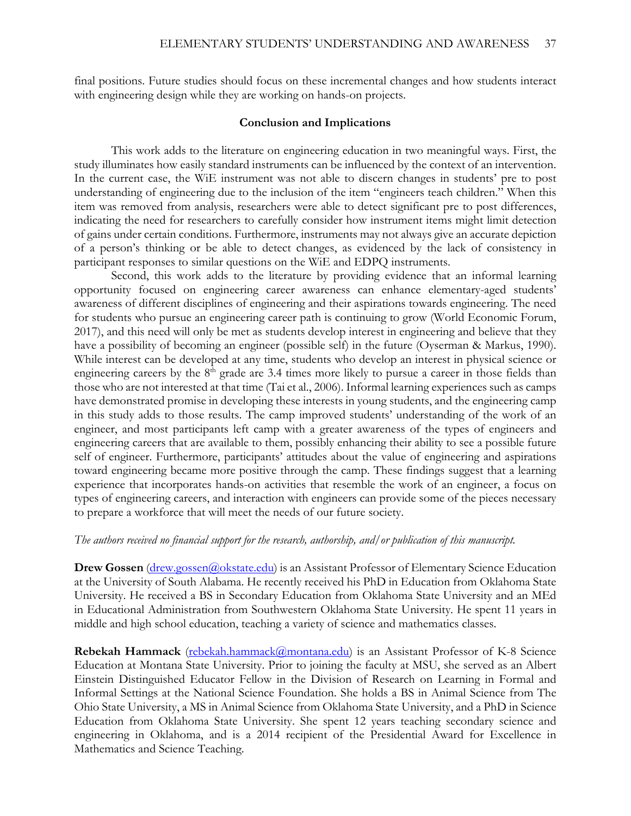final positions. Future studies should focus on these incremental changes and how students interact with engineering design while they are working on hands-on projects.

#### **Conclusion and Implications**

This work adds to the literature on engineering education in two meaningful ways. First, the study illuminates how easily standard instruments can be influenced by the context of an intervention. In the current case, the WiE instrument was not able to discern changes in students' pre to post understanding of engineering due to the inclusion of the item "engineers teach children." When this item was removed from analysis, researchers were able to detect significant pre to post differences, indicating the need for researchers to carefully consider how instrument items might limit detection of gains under certain conditions. Furthermore, instruments may not always give an accurate depiction of a person's thinking or be able to detect changes, as evidenced by the lack of consistency in participant responses to similar questions on the WiE and EDPQ instruments.

 Second, this work adds to the literature by providing evidence that an informal learning opportunity focused on engineering career awareness can enhance elementary-aged students' awareness of different disciplines of engineering and their aspirations towards engineering. The need for students who pursue an engineering career path is continuing to grow (World Economic Forum, 2017), and this need will only be met as students develop interest in engineering and believe that they have a possibility of becoming an engineer (possible self) in the future (Oyserman & Markus, 1990). While interest can be developed at any time, students who develop an interest in physical science or engineering careers by the  $8<sup>th</sup>$  grade are 3.4 times more likely to pursue a career in those fields than those who are not interested at that time (Tai et al., 2006). Informal learning experiences such as camps have demonstrated promise in developing these interests in young students, and the engineering camp in this study adds to those results. The camp improved students' understanding of the work of an engineer, and most participants left camp with a greater awareness of the types of engineers and engineering careers that are available to them, possibly enhancing their ability to see a possible future self of engineer. Furthermore, participants' attitudes about the value of engineering and aspirations toward engineering became more positive through the camp. These findings suggest that a learning experience that incorporates hands-on activities that resemble the work of an engineer, a focus on types of engineering careers, and interaction with engineers can provide some of the pieces necessary to prepare a workforce that will meet the needs of our future society.

#### *The authors received no financial support for the research, authorship, and/or publication of this manuscript.*

**Drew Gossen** [\(drew.gossen@okstate.edu\)](mailto:drew.gossen@okstate.edu) is an Assistant Professor of Elementary Science Education at the University of South Alabama. He recently received his PhD in Education from Oklahoma State University. He received a BS in Secondary Education from Oklahoma State University and an MEd in Educational Administration from Southwestern Oklahoma State University. He spent 11 years in middle and high school education, teaching a variety of science and mathematics classes.

**Rebekah Hammack** [\(rebekah.hammack@montana.edu\)](mailto:rebekah.hammack@montana.edu) is an Assistant Professor of K-8 Science Education at Montana State University. Prior to joining the faculty at MSU, she served as an Albert Einstein Distinguished Educator Fellow in the Division of Research on Learning in Formal and Informal Settings at the National Science Foundation. She holds a BS in Animal Science from The Ohio State University, a MS in Animal Science from Oklahoma State University, and a PhD in Science Education from Oklahoma State University. She spent 12 years teaching secondary science and engineering in Oklahoma, and is a 2014 recipient of the Presidential Award for Excellence in Mathematics and Science Teaching.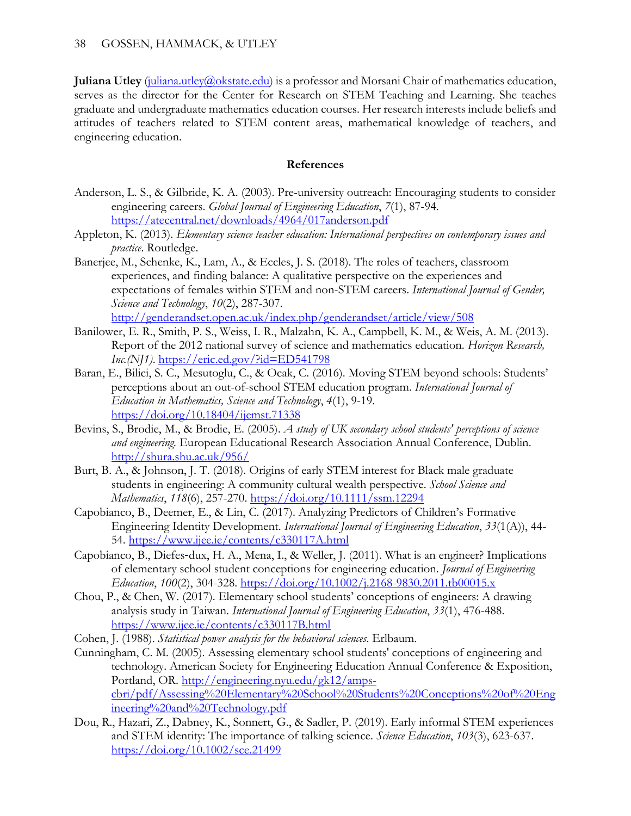**Juliana Utley** [\(juliana.utley@okstate.edu\)](mailto:juliana.utley@okstate.edu) is a professor and Morsani Chair of mathematics education, serves as the director for the Center for Research on STEM Teaching and Learning. She teaches graduate and undergraduate mathematics education courses. Her research interests include beliefs and attitudes of teachers related to STEM content areas, mathematical knowledge of teachers, and engineering education.

# **References**

- Anderson, L. S., & Gilbride, K. A. (2003). Pre-university outreach: Encouraging students to consider engineering careers. *Global Journal of Engineering Education*, *7*(1), 87-94. <https://atecentral.net/downloads/4964/017anderson.pdf>
- Appleton, K. (2013). *Elementary science teacher education: International perspectives on contemporary issues and practice*. Routledge.
- Banerjee, M., Schenke, K., Lam, A., & Eccles, J. S. (2018). The roles of teachers, classroom experiences, and finding balance: A qualitative perspective on the experiences and expectations of females within STEM and non-STEM careers. *International Journal of Gender, Science and Technology*, *10*(2), 287-307. <http://genderandset.open.ac.uk/index.php/genderandset/article/view/508>
- Banilower, E. R., Smith, P. S., Weiss, I. R., Malzahn, K. A., Campbell, K. M., & Weis, A. M. (2013). Report of the 2012 national survey of science and mathematics education. *Horizon Research, Inc.(NJ1)*.<https://eric.ed.gov/?id=ED541798>
- Baran, E., Bilici, S. C., Mesutoglu, C., & Ocak, C. (2016). Moving STEM beyond schools: Students' perceptions about an out-of-school STEM education program. *International Journal of Education in Mathematics, Science and Technology*, *4*(1), 9-19. <https://doi.org/10.18404/ijemst.71338>
- Bevins, S., Brodie, M., & Brodie, E. (2005). *A study of UK secondary school students' perceptions of science and engineering.* European Educational Research Association Annual Conference, Dublin. <http://shura.shu.ac.uk/956/>
- Burt, B. A., & Johnson, J. T. (2018). Origins of early STEM interest for Black male graduate students in engineering: A community cultural wealth perspective. *School Science and Mathematics*, *118*(6), 257-270.<https://doi.org/10.1111/ssm.12294>
- Capobianco, B., Deemer, E., & Lin, C. (2017). Analyzing Predictors of Children's Formative Engineering Identity Development. *International Journal of Engineering Education*, *33*(1(A)), 44- 54.<https://www.ijee.ie/contents/c330117A.html>
- Capobianco, B., Diefes‐dux, H. A., Mena, I., & Weller, J. (2011). What is an engineer? Implications of elementary school student conceptions for engineering education. *Journal of Engineering Education*, *100*(2), 304-328.<https://doi.org/10.1002/j.2168-9830.2011.tb00015.x>
- Chou, P., & Chen, W. (2017). Elementary school students' conceptions of engineers: A drawing analysis study in Taiwan. *International Journal of Engineering Education*, *33*(1), 476-488. <https://www.ijee.ie/contents/c330117B.html>
- Cohen, J. (1988). *Statistical power analysis for the behavioral sciences*. Erlbaum.
- Cunningham, C. M. (2005). Assessing elementary school students' conceptions of engineering and technology. American Society for Engineering Education Annual Conference & Exposition, Portland, OR. [http://engineering.nyu.edu/gk12/amps](http://engineering.nyu.edu/gk12/amps-cbri/pdf/Assessing%20Elementary%20School%20Students%20Conceptions%20of%20Engineering%20and%20Technology.pdf)[cbri/pdf/Assessing%20Elementary%20School%20Students%20Conceptions%20of%20Eng](http://engineering.nyu.edu/gk12/amps-cbri/pdf/Assessing%20Elementary%20School%20Students%20Conceptions%20of%20Engineering%20and%20Technology.pdf) [ineering%20and%20Technology.pdf](http://engineering.nyu.edu/gk12/amps-cbri/pdf/Assessing%20Elementary%20School%20Students%20Conceptions%20of%20Engineering%20and%20Technology.pdf)
- Dou, R., Hazari, Z., Dabney, K., Sonnert, G., & Sadler, P. (2019). Early informal STEM experiences and STEM identity: The importance of talking science. *Science Education*, *103*(3), 623-637. <https://doi.org/10.1002/sce.21499>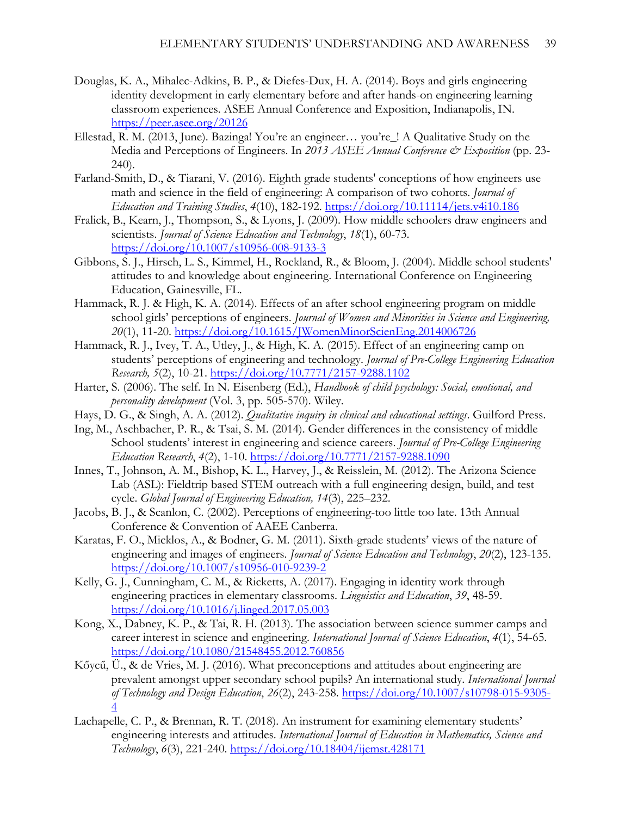- Douglas, K. A., Mihalec-Adkins, B. P., & Diefes-Dux, H. A. (2014). Boys and girls engineering identity development in early elementary before and after hands-on engineering learning classroom experiences. ASEE Annual Conference and Exposition, Indianapolis, IN. <https://peer.asee.org/20126>
- Ellestad, R. M. (2013, June). Bazinga! You're an engineer... you're ! A Qualitative Study on the Media and Perceptions of Engineers. In 2013 ASEE Annual Conference & Exposition (pp. 23-240).
- Farland-Smith, D., & Tiarani, V. (2016). Eighth grade students' conceptions of how engineers use math and science in the field of engineering: A comparison of two cohorts. *Journal of Education and Training Studies*, *4*(10), 182-192.<https://doi.org/10.11114/jets.v4i10.186>
- Fralick, B., Kearn, J., Thompson, S., & Lyons, J. (2009). How middle schoolers draw engineers and scientists. *Journal of Science Education and Technology*, *18*(1), 60-73. <https://doi.org/10.1007/s10956-008-9133-3>
- Gibbons, S. J., Hirsch, L. S., Kimmel, H., Rockland, R., & Bloom, J. (2004). Middle school students' attitudes to and knowledge about engineering. International Conference on Engineering Education, Gainesville, FL.
- Hammack, R. J. & High, K. A. (2014). Effects of an after school engineering program on middle school girls' perceptions of engineers. *Journal of Women and Minorities in Science and Engineering, 20*(1), 11-20.<https://doi.org/10.1615/JWomenMinorScienEng.2014006726>
- Hammack, R. J., Ivey, T. A., Utley, J., & High, K. A. (2015). Effect of an engineering camp on students' perceptions of engineering and technology. *Journal of Pre-College Engineering Education Research, 5*(2), 10-21.<https://doi.org/10.7771/2157-9288.1102>
- Harter, S. (2006). The self. In N. Eisenberg (Ed.), *Handbook of child psychology: Social, emotional, and personality development* (Vol. 3, pp. 505-570). Wiley.
- Hays, D. G., & Singh, A. A. (2012). *Qualitative inquiry in clinical and educational settings*. Guilford Press.
- Ing, M., Aschbacher, P. R., & Tsai, S. M. (2014). Gender differences in the consistency of middle School students' interest in engineering and science careers. *Journal of Pre-College Engineering Education Research*, *4*(2), 1-10.<https://doi.org/10.7771/2157-9288.1090>
- Innes, T., Johnson, A. M., Bishop, K. L., Harvey, J., & Reisslein, M. (2012). The Arizona Science Lab (ASL): Fieldtrip based STEM outreach with a full engineering design, build, and test cycle. *Global Journal of Engineering Education, 14*(3), 225–232.
- Jacobs, B. J., & Scanlon, C. (2002). Perceptions of engineering-too little too late. 13th Annual Conference & Convention of AAEE Canberra.
- Karatas, F. O., Micklos, A., & Bodner, G. M. (2011). Sixth-grade students' views of the nature of engineering and images of engineers. *Journal of Science Education and Technology*, *20*(2), 123-135. <https://doi.org/10.1007/s10956-010-9239-2>
- Kelly, G. J., Cunningham, C. M., & Ricketts, A. (2017). Engaging in identity work through engineering practices in elementary classrooms. *Linguistics and Education*, *39*, 48-59. <https://doi.org/10.1016/j.linged.2017.05.003>
- Kong, X., Dabney, K. P., & Tai, R. H. (2013). The association between science summer camps and career interest in science and engineering. *International Journal of Science Education*, *4*(1), 54-65. <https://doi.org/10.1080/21548455.2012.760856>
- Kőycű, Ü., & de Vries, M. J. (2016). What preconceptions and attitudes about engineering are prevalent amongst upper secondary school pupils? An international study. *International Journal of Technology and Design Education*, *26*(2), 243-258. [https://doi.org/10.1007/s10798-015-9305-](https://doi.org/10.1007/s10798-015-9305-4) [4](https://doi.org/10.1007/s10798-015-9305-4)
- Lachapelle, C. P., & Brennan, R. T. (2018). An instrument for examining elementary students' engineering interests and attitudes. *International Journal of Education in Mathematics, Science and Technology*, *6*(3), 221-240.<https://doi.org/10.18404/ijemst.428171>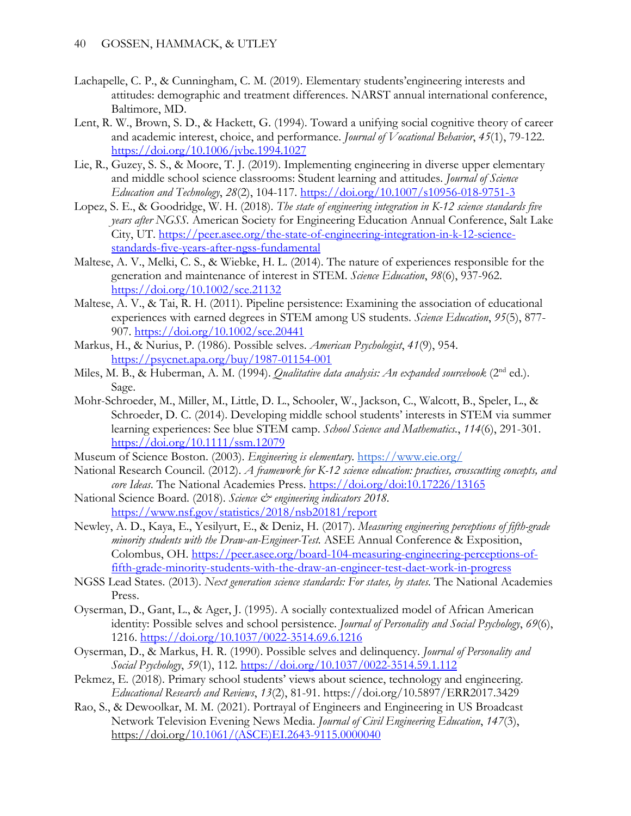- Lachapelle, C. P., & Cunningham, C. M. (2019). Elementary students'engineering interests and attitudes: demographic and treatment differences. NARST annual international conference, Baltimore, MD.
- Lent, R. W., Brown, S. D., & Hackett, G. (1994). Toward a unifying social cognitive theory of career and academic interest, choice, and performance. *Journal of Vocational Behavior*, *45*(1), 79-122. <https://doi.org/10.1006/jvbe.1994.1027>
- Lie, R., Guzey, S. S., & Moore, T. J. (2019). Implementing engineering in diverse upper elementary and middle school science classrooms: Student learning and attitudes. *Journal of Science Education and Technology*, *28*(2), 104-117.<https://doi.org/10.1007/s10956-018-9751-3>
- Lopez, S. E., & Goodridge, W. H. (2018). *The state of engineering integration in K-12 science standards five years after NGSS.* American Society for Engineering Education Annual Conference, Salt Lake City, UT. [https://peer.asee.org/the-state-of-engineering-integration-in-k-12-science](https://peer.asee.org/the-state-of-engineering-integration-in-k-12-science-standards-five-years-after-ngss-fundamental)[standards-five-years-after-ngss-fundamental](https://peer.asee.org/the-state-of-engineering-integration-in-k-12-science-standards-five-years-after-ngss-fundamental)
- Maltese, A. V., Melki, C. S., & Wiebke, H. L. (2014). The nature of experiences responsible for the generation and maintenance of interest in STEM. *Science Education*, *98*(6), 937-962. <https://doi.org/10.1002/sce.21132>
- Maltese, A. V., & Tai, R. H. (2011). Pipeline persistence: Examining the association of educational experiences with earned degrees in STEM among US students. *Science Education*, *95*(5), 877- 907.<https://doi.org/10.1002/sce.20441>
- Markus, H., & Nurius, P. (1986). Possible selves. *American Psychologist*, *41*(9), 954. <https://psycnet.apa.org/buy/1987-01154-001>
- Miles, M. B., & Huberman, A. M. (1994). *Qualitative data analysis: An expanded sourcebook* (2<sup>nd</sup> ed.). Sage.
- Mohr-Schroeder, M., Miller, M., Little, D. L., Schooler, W., Jackson, C., Walcott, B., Speler, L., & Schroeder, D. C. (2014). Developing middle school students' interests in STEM via summer learning experiences: See blue STEM camp. *School Science and Mathematics.*, *114*(6), 291-301. <https://doi.org/10.1111/ssm.12079>
- Museum of Science Boston. (2003). *Engineering is elementary*.<https://www.eie.org/>
- National Research Council. (2012). *A framework for K-12 science education: practices, crosscutting concepts, and core Ideas*. The National Academies Press.<https://doi.org/doi:10.17226/13165>
- National Science Board. (2018). Science & engineering indicators 2018. <https://www.nsf.gov/statistics/2018/nsb20181/report>
- Newley, A. D., Kaya, E., Yesilyurt, E., & Deniz, H. (2017). *Measuring engineering perceptions of fifth-grade minority students with the Draw-an-Engineer-Test.* ASEE Annual Conference & Exposition, Colombus, OH. [https://peer.asee.org/board-104-measuring-engineering-perceptions-of](https://peer.asee.org/board-104-measuring-engineering-perceptions-of-fifth-grade-minority-students-with-the-draw-an-engineer-test-daet-work-in-progress)[fifth-grade-minority-students-with-the-draw-an-engineer-test-daet-work-in-progress](https://peer.asee.org/board-104-measuring-engineering-perceptions-of-fifth-grade-minority-students-with-the-draw-an-engineer-test-daet-work-in-progress)
- NGSS Lead States. (2013). *Next generation science standards: For states, by states.* The National Academies Press.
- Oyserman, D., Gant, L., & Ager, J. (1995). A socially contextualized model of African American identity: Possible selves and school persistence. *Journal of Personality and Social Psychology*, *69*(6), 1216.<https://doi.org/10.1037/0022-3514.69.6.1216>
- Oyserman, D., & Markus, H. R. (1990). Possible selves and delinquency. *Journal of Personality and Social Psychology*, *59*(1), 112.<https://doi.org/10.1037/0022-3514.59.1.112>
- Pekmez, E. (2018). Primary school students' views about science, technology and engineering. *Educational Research and Reviews*, *13*(2), 81-91. https://doi.org/10.5897/ERR2017.3429
- Rao, S., & Dewoolkar, M. M. (2021). Portrayal of Engineers and Engineering in US Broadcast Network Television Evening News Media. *Journal of Civil Engineering Education*, *147*(3), https://doi.org[/10.1061/\(ASCE\)EI.2643-9115.0000040](https://doi.org/10.1061/(ASCE)EI.2643-9115.0000040)